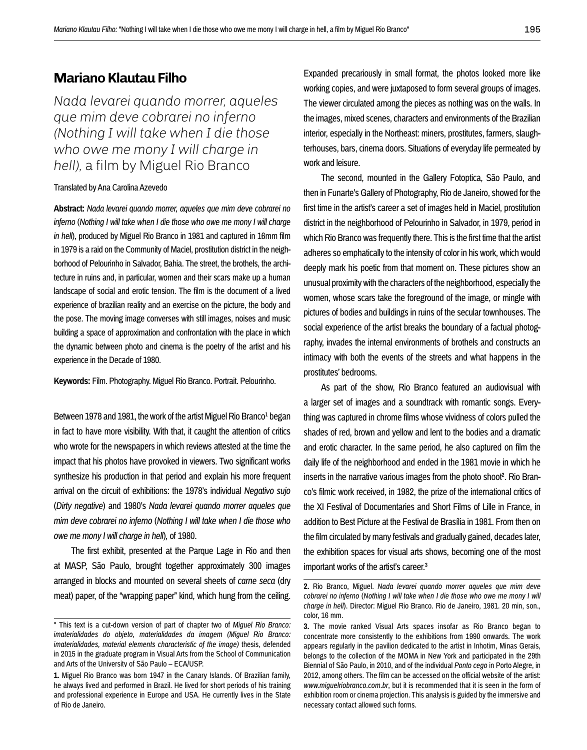## **Mariano Klautau Filho**

*Nada levarei quando morrer, aqueles que mim deve cobrarei no inferno (Nothing I will take when I die those who owe me mony I will charge in hell),* a film by Miguel Rio Branco

## Translated by Ana Carolina Azevedo

**Abstract:** *Nada levarei quando morrer, aqueles que mim deve cobrarei no inferno* (*Nothing I will take when I die those who owe me mony I will charge in hell*), produced by Miguel Rio Branco in 1981 and captured in 16mm film in 1979 is a raid on the Community of Maciel, prostitution district in the neighborhood of Pelourinho in Salvador, Bahia. The street, the brothels, the architecture in ruins and, in particular, women and their scars make up a human landscape of social and erotic tension. The film is the document of a lived experience of brazilian reality and an exercise on the picture, the body and the pose. The moving image converses with still images, noises and music building a space of approximation and confrontation with the place in which the dynamic between photo and cinema is the poetry of the artist and his experience in the Decade of 1980.

**Keywords:** Film. Photography. Miguel Rio Branco. Portrait. Pelourinho.

Between 1978 and 1981, the work of the artist Miguel Rio Branco<sup>1</sup> began in fact to have more visibility. With that, it caught the attention of critics who wrote for the newspapers in which reviews attested at the time the impact that his photos have provoked in viewers. Two significant works synthesize his production in that period and explain his more frequent arrival on the circuit of exhibitions: the 1978's individual *Negativo sujo* (*Dirty negative*) and 1980's *Nada levarei quando morrer aqueles que mim deve cobrarei no inferno* (*Nothing I will take when I die those who owe me mony I will charge in hell*)*,* of 1980.

The first exhibit, presented at the Parque Lage in Rio and then at MASP, São Paulo, brought together approximately 300 images arranged in blocks and mounted on several sheets of *carne seca* (dry meat) paper, of the "wrapping paper" kind, which hung from the ceiling. Expanded precariously in small format, the photos looked more like working copies, and were juxtaposed to form several groups of images. The viewer circulated among the pieces as nothing was on the walls. In the images, mixed scenes, characters and environments of the Brazilian interior, especially in the Northeast: miners, prostitutes, farmers, slaughterhouses, bars, cinema doors. Situations of everyday life permeated by work and leisure.

The second, mounted in the Gallery Fotoptica, São Paulo, and then in Funarte's Gallery of Photography, Rio de Janeiro, showed for the first time in the artist's career a set of images held in Maciel, prostitution district in the neighborhood of Pelourinho in Salvador, in 1979, period in which Rio Branco was frequently there. This is the first time that the artist adheres so emphatically to the intensity of color in his work, which would deeply mark his poetic from that moment on. These pictures show an unusual proximity with the characters of the neighborhood, especially the women, whose scars take the foreground of the image, or mingle with pictures of bodies and buildings in ruins of the secular townhouses. The social experience of the artist breaks the boundary of a factual photography, invades the internal environments of brothels and constructs an intimacy with both the events of the streets and what happens in the prostitutes' bedrooms.

As part of the show, Rio Branco featured an audiovisual with a larger set of images and a soundtrack with romantic songs. Everything was captured in chrome films whose vividness of colors pulled the shades of red, brown and yellow and lent to the bodies and a dramatic and erotic character. In the same period, he also captured on film the daily life of the neighborhood and ended in the 1981 movie in which he inserts in the narrative various images from the photo shoot<sup>2</sup>. Rio Branco's filmic work received, in 1982, the prize of the international critics of the XI Festival of Documentaries and Short Films of Lille in France, in addition to Best Picture at the Festival de Brasília in 1981. From then on the film circulated by many festivals and gradually gained, decades later, the exhibition spaces for visual arts shows, becoming one of the most important works of the artist's career.3

<sup>\*</sup> This text is a cut-down version of part of chapter two of *Miguel Rio Branco: imaterialidades do objeto, materialidades da imagem (Miguel Rio Branco: imaterialidades, material elements characteristic of the image)* thesis, defended in 2015 in the graduate program in Visual Arts from the School of Communication and Arts of the University of São Paulo – ECA/USP.

**<sup>1.</sup>** Miguel Rio Branco was born 1947 in the Canary Islands. Of Brazilian family, he always lived and performed in Brazil. He lived for short periods of his training and professional experience in Europe and USA. He currently lives in the State of Rio de Janeiro.

**<sup>2.</sup>** Rio Branco, Miguel. *Nada levarei quando morrer aqueles que mim deve cobrarei no inferno* (*Nothing I will take when I die those who owe me mony I will charge in hell*). Director: Miguel Rio Branco. Rio de Janeiro, 1981. 20 min, son., color, 16 mm.

**<sup>3.</sup>** The movie ranked Visual Arts spaces insofar as Rio Branco began to concentrate more consistently to the exhibitions from 1990 onwards. The work appears regularly in the pavilion dedicated to the artist in Inhotim, Minas Gerais, belongs to the collection of the MOMA in New York and participated in the 29th Biennial of São Paulo, in 2010, and of the individual *Ponto cego* in Porto Alegre, in 2012, among others. The film can be accessed on the official website of the artist: *www.miguelriobranco.com.br*, but it is recommended that it is seen in the form of exhibition room or cinema projection. This analysis is guided by the immersive and necessary contact allowed such forms.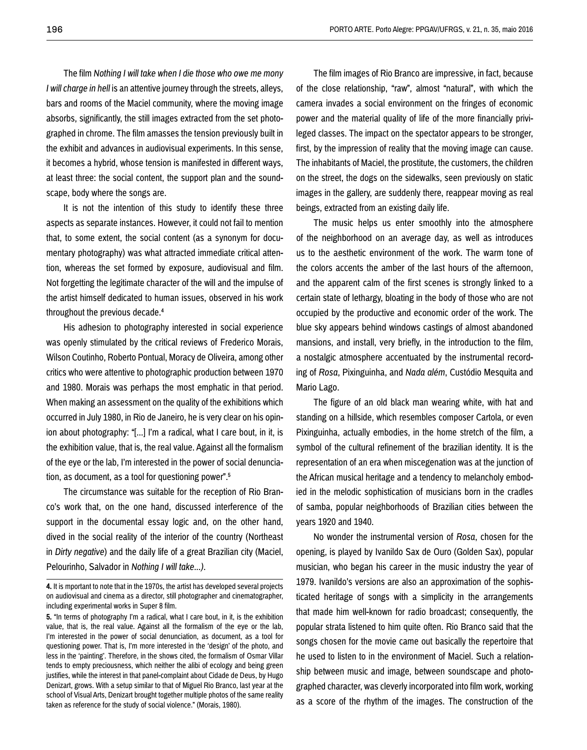The film *Nothing I will take when I die those who owe me mony I* will charge in hell is an attentive journey through the streets, alleys, bars and rooms of the Maciel community, where the moving image absorbs, significantly, the still images extracted from the set photographed in chrome. The film amasses the tension previously built in the exhibit and advances in audiovisual experiments. In this sense, it becomes a hybrid, whose tension is manifested in different ways, at least three: the social content, the support plan and the soundscape, body where the songs are.

It is not the intention of this study to identify these three aspects as separate instances. However, it could not fail to mention that, to some extent, the social content (as a synonym for documentary photography) was what attracted immediate critical attention, whereas the set formed by exposure, audiovisual and film. Not forgetting the legitimate character of the will and the impulse of the artist himself dedicated to human issues, observed in his work throughout the previous decade.4

His adhesion to photography interested in social experience was openly stimulated by the critical reviews of Frederico Morais, Wilson Coutinho, Roberto Pontual, Moracy de Oliveira, among other critics who were attentive to photographic production between 1970 and 1980. Morais was perhaps the most emphatic in that period. When making an assessment on the quality of the exhibitions which occurred in July 1980, in Rio de Janeiro, he is very clear on his opinion about photography: "[...] I'm a radical, what I care bout, in it, is the exhibition value, that is, the real value. Against all the formalism of the eye or the lab, I'm interested in the power of social denunciation, as document, as a tool for questioning power".5

The circumstance was suitable for the reception of Rio Branco's work that, on the one hand, discussed interference of the support in the documental essay logic and, on the other hand, dived in the social reality of the interior of the country (Northeast in *Dirty negative*) and the daily life of a great Brazilian city (Maciel, Pelourinho, Salvador in *Nothing I will take...)*.

The film images of Rio Branco are impressive, in fact, because of the close relationship, "raw", almost "natural", with which the camera invades a social environment on the fringes of economic power and the material quality of life of the more financially privileged classes. The impact on the spectator appears to be stronger, first, by the impression of reality that the moving image can cause. The inhabitants of Maciel, the prostitute, the customers, the children on the street, the dogs on the sidewalks, seen previously on static images in the gallery, are suddenly there, reappear moving as real beings, extracted from an existing daily life.

The music helps us enter smoothly into the atmosphere of the neighborhood on an average day, as well as introduces us to the aesthetic environment of the work. The warm tone of the colors accents the amber of the last hours of the afternoon, and the apparent calm of the first scenes is strongly linked to a certain state of lethargy, bloating in the body of those who are not occupied by the productive and economic order of the work. The blue sky appears behind windows castings of almost abandoned mansions, and install, very briefly, in the introduction to the film, a nostalgic atmosphere accentuated by the instrumental recording of *Rosa*, Pixinguinha, and *Nada além*, Custódio Mesquita and Mario Lago.

The figure of an old black man wearing white, with hat and standing on a hillside, which resembles composer Cartola, or even Pixinguinha, actually embodies, in the home stretch of the film, a symbol of the cultural refinement of the brazilian identity. It is the representation of an era when miscegenation was at the junction of the African musical heritage and a tendency to melancholy embodied in the melodic sophistication of musicians born in the cradles of samba, popular neighborhoods of Brazilian cities between the years 1920 and 1940.

No wonder the instrumental version of *Rosa*, chosen for the opening, is played by Ivanildo Sax de Ouro (Golden Sax), popular musician, who began his career in the music industry the year of 1979. Ivanildo's versions are also an approximation of the sophisticated heritage of songs with a simplicity in the arrangements that made him well-known for radio broadcast; consequently, the popular strata listened to him quite often. Rio Branco said that the songs chosen for the movie came out basically the repertoire that he used to listen to in the environment of Maciel. Such a relationship between music and image, between soundscape and photographed character, was cleverly incorporated into film work, working as a score of the rhythm of the images. The construction of the

**<sup>4.</sup>** It is mportant to note that in the 1970s, the artist has developed several projects on audiovisual and cinema as a director, still photographer and cinematographer, including experimental works in Super 8 film.

**<sup>5.</sup>** "In terms of photography I'm a radical, what I care bout, in it, is the exhibition value, that is, the real value. Against all the formalism of the eye or the lab, I'm interested in the power of social denunciation, as document, as a tool for questioning power. That is, I'm more interested in the 'design' of the photo, and less in the 'painting'. Therefore, in the shows cited, the formalism of Osmar Villar tends to empty preciousness, which neither the alibi of ecology and being green justifies, while the interest in that panel-complaint about Cidade de Deus, by Hugo Denizart, grows. With a setup similar to that of Miguel Rio Branco, last year at the school of Visual Arts, Denizart brought together multiple photos of the same reality taken as reference for the study of social violence." (Morais, 1980).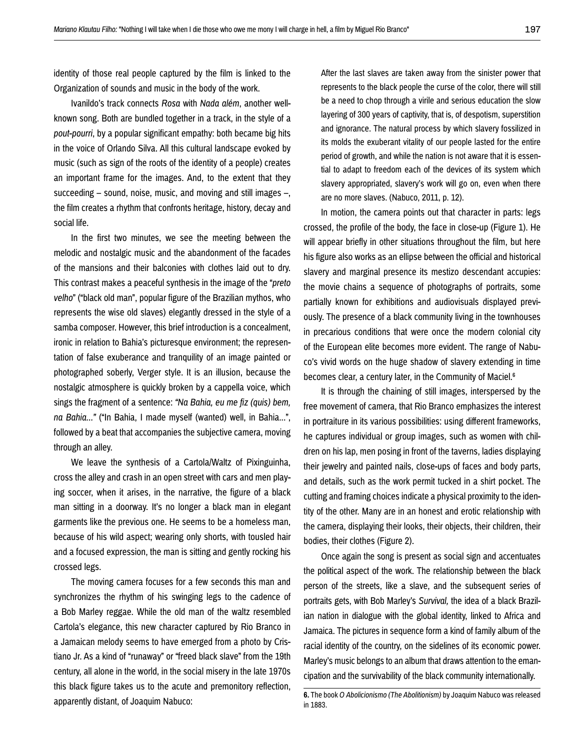identity of those real people captured by the film is linked to the Organization of sounds and music in the body of the work.

Ivanildo's track connects *Rosa* with *Nada além*, another wellknown song. Both are bundled together in a track, in the style of a *pout-pourri*, by a popular significant empathy: both became big hits in the voice of Orlando Silva. All this cultural landscape evoked by music (such as sign of the roots of the identity of a people) creates an important frame for the images. And, to the extent that they succeeding – sound, noise, music, and moving and still images –, the film creates a rhythm that confronts heritage, history, decay and social life.

In the first two minutes, we see the meeting between the melodic and nostalgic music and the abandonment of the facades of the mansions and their balconies with clothes laid out to dry. This contrast makes a peaceful synthesis in the image of the "*preto velho*" ("black old man", popular figure of the Brazilian mythos, who represents the wise old slaves) elegantly dressed in the style of a samba composer. However, this brief introduction is a concealment, ironic in relation to Bahia's picturesque environment; the representation of false exuberance and tranquility of an image painted or photographed soberly, Verger style. It is an illusion, because the nostalgic atmosphere is quickly broken by a cappella voice, which sings the fragment of a sentence: *"Na Bahia, eu me fiz (quis) bem, na Bahia..."* ("In Bahia, I made myself (wanted) well, in Bahia...", followed by a beat that accompanies the subjective camera, moving through an alley.

We leave the synthesis of a Cartola/Waltz of Pixinguinha, cross the alley and crash in an open street with cars and men playing soccer, when it arises, in the narrative, the figure of a black man sitting in a doorway. It's no longer a black man in elegant garments like the previous one. He seems to be a homeless man, because of his wild aspect; wearing only shorts, with tousled hair and a focused expression, the man is sitting and gently rocking his crossed legs.

The moving camera focuses for a few seconds this man and synchronizes the rhythm of his swinging legs to the cadence of a Bob Marley reggae. While the old man of the waltz resembled Cartola's elegance, this new character captured by Rio Branco in a Jamaican melody seems to have emerged from a photo by Cristiano Jr. As a kind of "runaway" or "freed black slave" from the 19th century, all alone in the world, in the social misery in the late 1970s this black figure takes us to the acute and premonitory reflection, apparently distant, of Joaquim Nabuco:

After the last slaves are taken away from the sinister power that represents to the black people the curse of the color, there will still be a need to chop through a virile and serious education the slow layering of 300 years of captivity, that is, of despotism, superstition and ignorance. The natural process by which slavery fossilized in its molds the exuberant vitality of our people lasted for the entire period of growth, and while the nation is not aware that it is essential to adapt to freedom each of the devices of its system which slavery appropriated, slavery's work will go on, even when there are no more slaves. (Nabuco, 2011, p. 12).

In motion, the camera points out that character in parts: legs crossed, the profile of the body, the face in close-up (Figure 1). He will appear briefly in other situations throughout the film, but here his figure also works as an ellipse between the official and historical slavery and marginal presence its mestizo descendant accupies: the movie chains a sequence of photographs of portraits, some partially known for exhibitions and audiovisuals displayed previously. The presence of a black community living in the townhouses in precarious conditions that were once the modern colonial city of the European elite becomes more evident. The range of Nabuco's vivid words on the huge shadow of slavery extending in time becomes clear, a century later, in the Community of Maciel.<sup>6</sup>

It is through the chaining of still images, interspersed by the free movement of camera, that Rio Branco emphasizes the interest in portraiture in its various possibilities: using different frameworks, he captures individual or group images, such as women with children on his lap, men posing in front of the taverns, ladies displaying their jewelry and painted nails, close-ups of faces and body parts, and details, such as the work permit tucked in a shirt pocket. The cutting and framing choices indicate a physical proximity to the identity of the other. Many are in an honest and erotic relationship with the camera, displaying their looks, their objects, their children, their bodies, their clothes (Figure 2).

Once again the song is present as social sign and accentuates the political aspect of the work. The relationship between the black person of the streets, like a slave, and the subsequent series of portraits gets, with Bob Marley's *Survival,* the idea of a black Brazilian nation in dialogue with the global identity, linked to Africa and Jamaica. The pictures in sequence form a kind of family album of the racial identity of the country, on the sidelines of its economic power. Marley's music belongs to an album that draws attention to the emancipation and the survivability of the black community internationally.

**<sup>6.</sup>** The book *O Abolicionismo (The Abolitionism)* by Joaquim Nabuco was released in 1883.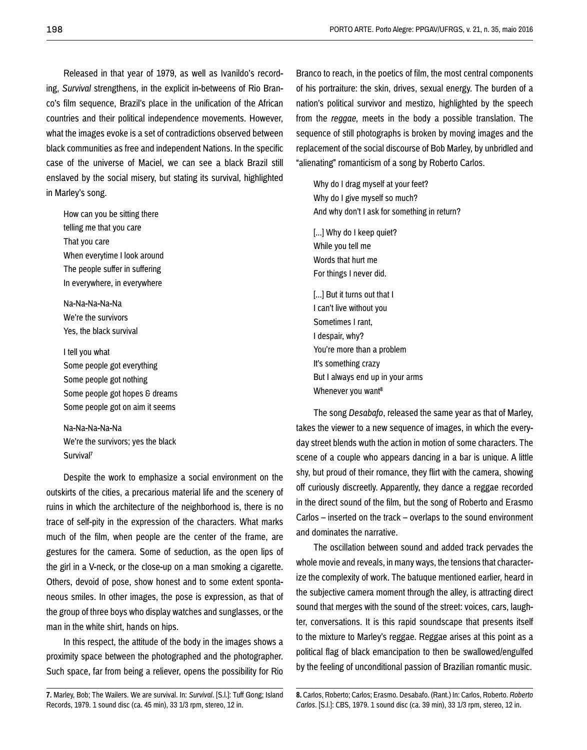Released in that year of 1979, as well as Ivanildo's recording, *Survival* strengthens, in the explicit in-betweens of Rio Branco's film sequence, Brazil's place in the unification of the African countries and their political independence movements. However, what the images evoke is a set of contradictions observed between black communities as free and independent Nations. In the specific case of the universe of Maciel, we can see a black Brazil still enslaved by the social misery, but stating its survival, highlighted in Marley's song.

How can you be sitting there telling me that you care That you care When everytime I look around The people suffer in suffering In everywhere, in everywhere

Na-Na-Na-Na-Na We're the survivors Yes, the black survival

I tell you what Some people got everything Some people got nothing Some people got hopes & dreams Some people got on aim it seems

Na-Na-Na-Na-Na We're the survivors; yes the black Survival7

Despite the work to emphasize a social environment on the outskirts of the cities, a precarious material life and the scenery of ruins in which the architecture of the neighborhood is, there is no trace of self-pity in the expression of the characters. What marks much of the film, when people are the center of the frame, are gestures for the camera. Some of seduction, as the open lips of the girl in a V-neck, or the close-up on a man smoking a cigarette. Others, devoid of pose, show honest and to some extent spontaneous smiles. In other images, the pose is expression, as that of the group of three boys who display watches and sunglasses, or the man in the white shirt, hands on hips.

In this respect, the attitude of the body in the images shows a proximity space between the photographed and the photographer. Such space, far from being a reliever, opens the possibility for Rio

**7.** Marley, Bob; The Wailers. We are survival. In: *Survival*. [S.l.]: Tuff Gong; Island Records, 1979. 1 sound disc (ca. 45 min), 33 1/3 rpm, stereo, 12 in.

Branco to reach, in the poetics of film, the most central components of his portraiture: the skin, drives, sexual energy. The burden of a nation's political survivor and mestizo, highlighted by the speech from the *reggae,* meets in the body a possible translation. The sequence of still photographs is broken by moving images and the replacement of the social discourse of Bob Marley, by unbridled and "alienating" romanticism of a song by Roberto Carlos.

Why do I drag myself at your feet? Why do I give myself so much? And why don't I ask for something in return?

[...] Why do I keep quiet? While you tell me Words that hurt me For things I never did.

[...] But it turns out that I I can't live without you Sometimes I rant, I despair, why? You're more than a problem It's something crazy But I always end up in your arms Whenever you want<sup>8</sup>

The song *Desabafo*, released the same year as that of Marley, takes the viewer to a new sequence of images, in which the everyday street blends wuth the action in motion of some characters. The scene of a couple who appears dancing in a bar is unique. A little shy, but proud of their romance, they flirt with the camera, showing off curiously discreetly. Apparently, they dance a reggae recorded in the direct sound of the film, but the song of Roberto and Erasmo Carlos – inserted on the track – overlaps to the sound environment and dominates the narrative.

The oscillation between sound and added track pervades the whole movie and reveals, in many ways, the tensions that characterize the complexity of work. The batuque mentioned earlier, heard in the subjective camera moment through the alley, is attracting direct sound that merges with the sound of the street: voices, cars, laughter, conversations. It is this rapid soundscape that presents itself to the mixture to Marley's reggae. Reggae arises at this point as a political flag of black emancipation to then be swallowed/engulfed by the feeling of unconditional passion of Brazilian romantic music.

**8.** Carlos, Roberto; Carlos; Erasmo. Desabafo. (Rant.) In: Carlos, Roberto. *Roberto Carlos*. [S.l.]: CBS, 1979. 1 sound disc (ca. 39 min), 33 1/3 rpm, stereo, 12 in.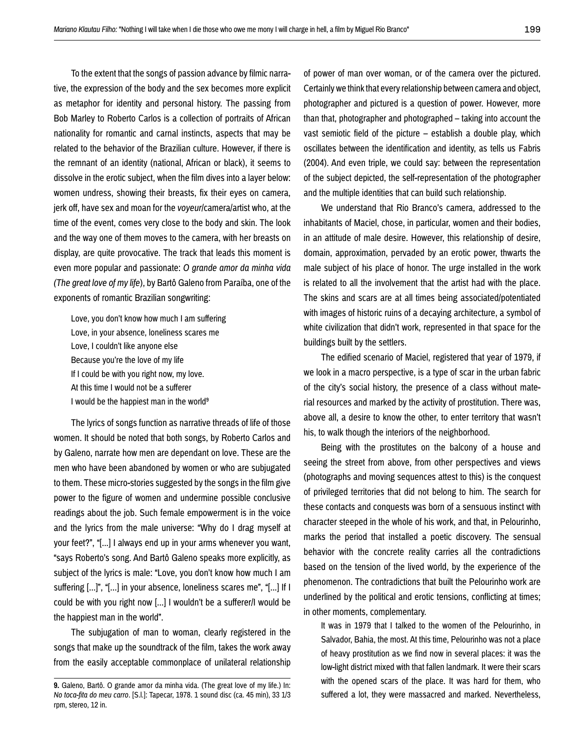To the extent that the songs of passion advance by filmic narrative, the expression of the body and the sex becomes more explicit as metaphor for identity and personal history. The passing from Bob Marley to Roberto Carlos is a collection of portraits of African nationality for romantic and carnal instincts, aspects that may be related to the behavior of the Brazilian culture. However, if there is the remnant of an identity (national, African or black), it seems to dissolve in the erotic subject, when the film dives into a layer below: women undress, showing their breasts, fix their eyes on camera, jerk off, have sex and moan for the *voyeur*/camera/artist who, at the time of the event, comes very close to the body and skin. The look and the way one of them moves to the camera, with her breasts on display, are quite provocative. The track that leads this moment is even more popular and passionate: *O grande amor da minha vida (The great love of my life*), by Bartô Galeno from Paraíba, one of the exponents of romantic Brazilian songwriting:

Love, you don't know how much I am suffering Love, in your absence, loneliness scares me Love, I couldn't like anyone else Because you're the love of my life If I could be with you right now, my love. At this time I would not be a sufferer I would be the happiest man in the world<sup>9</sup>

The lyrics of songs function as narrative threads of life of those women. It should be noted that both songs, by Roberto Carlos and by Galeno, narrate how men are dependant on love. These are the men who have been abandoned by women or who are subjugated to them. These micro-stories suggested by the songs in the film give power to the figure of women and undermine possible conclusive readings about the job. Such female empowerment is in the voice and the lyrics from the male universe: "Why do I drag myself at your feet?", "[...] I always end up in your arms whenever you want, "says Roberto's song. And Bartô Galeno speaks more explicitly, as subject of the lyrics is male: "Love, you don't know how much I am suffering [...]", "[...] in your absence, loneliness scares me", "[...] If I could be with you right now [...] I wouldn't be a sufferer/I would be the happiest man in the world".

The subjugation of man to woman, clearly registered in the songs that make up the soundtrack of the film, takes the work away from the easily acceptable commonplace of unilateral relationship of power of man over woman, or of the camera over the pictured. Certainly we think that every relationship between camera and object, photographer and pictured is a question of power. However, more than that, photographer and photographed – taking into account the vast semiotic field of the picture – establish a double play, which oscillates between the identification and identity, as tells us Fabris (2004). And even triple, we could say: between the representation of the subject depicted, the self-representation of the photographer and the multiple identities that can build such relationship.

We understand that Rio Branco's camera, addressed to the inhabitants of Maciel, chose, in particular, women and their bodies, in an attitude of male desire. However, this relationship of desire, domain, approximation, pervaded by an erotic power, thwarts the male subject of his place of honor. The urge installed in the work is related to all the involvement that the artist had with the place. The skins and scars are at all times being associated/potentiated with images of historic ruins of a decaying architecture, a symbol of white civilization that didn't work, represented in that space for the buildings built by the settlers.

The edified scenario of Maciel, registered that year of 1979, if we look in a macro perspective, is a type of scar in the urban fabric of the city's social history, the presence of a class without material resources and marked by the activity of prostitution. There was, above all, a desire to know the other, to enter territory that wasn't his, to walk though the interiors of the neighborhood.

Being with the prostitutes on the balcony of a house and seeing the street from above, from other perspectives and views (photographs and moving sequences attest to this) is the conquest of privileged territories that did not belong to him. The search for these contacts and conquests was born of a sensuous instinct with character steeped in the whole of his work, and that, in Pelourinho, marks the period that installed a poetic discovery. The sensual behavior with the concrete reality carries all the contradictions based on the tension of the lived world, by the experience of the phenomenon. The contradictions that built the Pelourinho work are underlined by the political and erotic tensions, conflicting at times; in other moments, complementary.

It was in 1979 that I talked to the women of the Pelourinho, in Salvador, Bahia, the most. At this time, Pelourinho was not a place of heavy prostitution as we find now in several places: it was the low-light district mixed with that fallen landmark. It were their scars with the opened scars of the place. It was hard for them, who suffered a lot, they were massacred and marked. Nevertheless,

**<sup>9.</sup>** Galeno, Bartô. O grande amor da minha vida. (The great love of my life.) In: *No toca-fita do meu carro*. [S.l.]: Tapecar, 1978. 1 sound disc (ca. 45 min), 33 1/3 rpm, stereo, 12 in.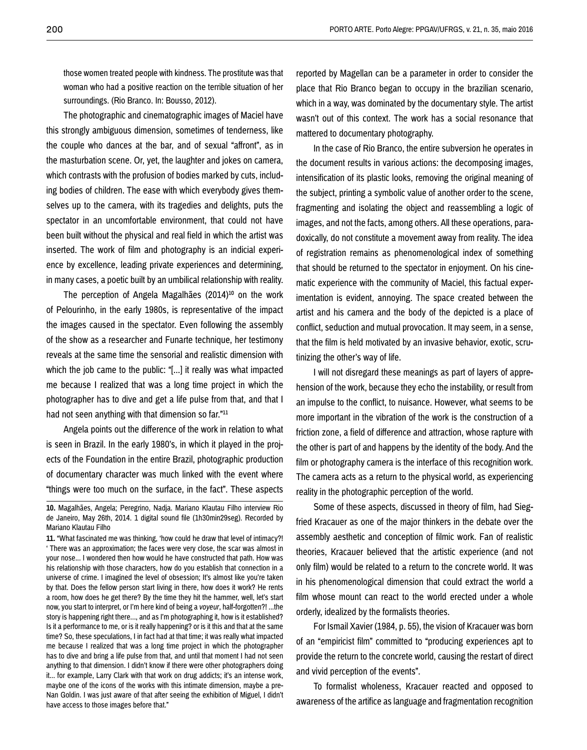those women treated people with kindness. The prostitute was that woman who had a positive reaction on the terrible situation of her surroundings. (Rio Branco. In: Bousso, 2012).

The photographic and cinematographic images of Maciel have this strongly ambiguous dimension, sometimes of tenderness, like the couple who dances at the bar, and of sexual "affront", as in the masturbation scene. Or, yet, the laughter and jokes on camera, which contrasts with the profusion of bodies marked by cuts, including bodies of children. The ease with which everybody gives themselves up to the camera, with its tragedies and delights, puts the spectator in an uncomfortable environment, that could not have been built without the physical and real field in which the artist was inserted. The work of film and photography is an indicial experience by excellence, leading private experiences and determining, in many cases, a poetic built by an umbilical relationship with reality.

The perception of Angela Magalhães (2014)<sup>10</sup> on the work of Pelourinho, in the early 1980s, is representative of the impact the images caused in the spectator. Even following the assembly of the show as a researcher and Funarte technique, her testimony reveals at the same time the sensorial and realistic dimension with which the job came to the public: "[...] it really was what impacted me because I realized that was a long time project in which the photographer has to dive and get a life pulse from that, and that I had not seen anything with that dimension so far."11

Angela points out the difference of the work in relation to what is seen in Brazil. In the early 1980's, in which it played in the projects of the Foundation in the entire Brazil, photographic production of documentary character was much linked with the event where "things were too much on the surface, in the fact". These aspects

**11.** "What fascinated me was thinking, 'how could he draw that level of intimacy?! ' There was an approximation; the faces were very close, the scar was almost in your nose... I wondered then how would he have constructed that path. How was his relationship with those characters, how do you establish that connection in a universe of crime. I imagined the level of obsession; It's almost like you're taken by that. Does the fellow person start living in there, how does it work? He rents a room, how does he get there? By the time they hit the hammer, well, let's start now, you start to interpret, or I'm here kind of being a *voyeur*, half-forgotten?! ...the story is happening right there..., and as I'm photographing it, how is it established? Is it a performance to me, or is it really happening? or is it this and that at the same time? So, these speculations, I in fact had at that time; it was really what impacted me because I realized that was a long time project in which the photographer has to dive and bring a life pulse from that, and until that moment I had not seen anything to that dimension. I didn't know if there were other photographers doing it... for example, Larry Clark with that work on drug addicts; it's an intense work, maybe one of the icons of the works with this intimate dimension, maybe a pre-Nan Goldin. I was just aware of that after seeing the exhibition of Miguel, I didn't have access to those images before that."

reported by Magellan can be a parameter in order to consider the place that Rio Branco began to occupy in the brazilian scenario, which in a way, was dominated by the documentary style. The artist wasn't out of this context. The work has a social resonance that mattered to documentary photography.

In the case of Rio Branco, the entire subversion he operates in the document results in various actions: the decomposing images, intensification of its plastic looks, removing the original meaning of the subject, printing a symbolic value of another order to the scene, fragmenting and isolating the object and reassembling a logic of images, and not the facts, among others. All these operations, paradoxically, do not constitute a movement away from reality. The idea of registration remains as phenomenological index of something that should be returned to the spectator in enjoyment. On his cinematic experience with the community of Maciel, this factual experimentation is evident, annoying. The space created between the artist and his camera and the body of the depicted is a place of conflict, seduction and mutual provocation. It may seem, in a sense, that the film is held motivated by an invasive behavior, exotic, scrutinizing the other's way of life.

I will not disregard these meanings as part of layers of apprehension of the work, because they echo the instability, or result from an impulse to the conflict, to nuisance. However, what seems to be more important in the vibration of the work is the construction of a friction zone, a field of difference and attraction, whose rapture with the other is part of and happens by the identity of the body. And the film or photography camera is the interface of this recognition work. The camera acts as a return to the physical world, as experiencing reality in the photographic perception of the world.

Some of these aspects, discussed in theory of film, had Siegfried Kracauer as one of the major thinkers in the debate over the assembly aesthetic and conception of filmic work. Fan of realistic theories, Kracauer believed that the artistic experience (and not only film) would be related to a return to the concrete world. It was in his phenomenological dimension that could extract the world a film whose mount can react to the world erected under a whole orderly, idealized by the formalists theories.

For Ismail Xavier (1984, p. 55), the vision of Kracauer was born of an "empiricist film" committed to "producing experiences apt to provide the return to the concrete world, causing the restart of direct and vivid perception of the events".

To formalist wholeness, Kracauer reacted and opposed to awareness of the artifice as language and fragmentation recognition

**<sup>10.</sup>** Magalhães, Angela; Peregrino, Nadja. Mariano Klautau Filho interview Rio de Janeiro, May 26th, 2014. 1 digital sound file (1h30min29seg). Recorded by Mariano Klautau Filho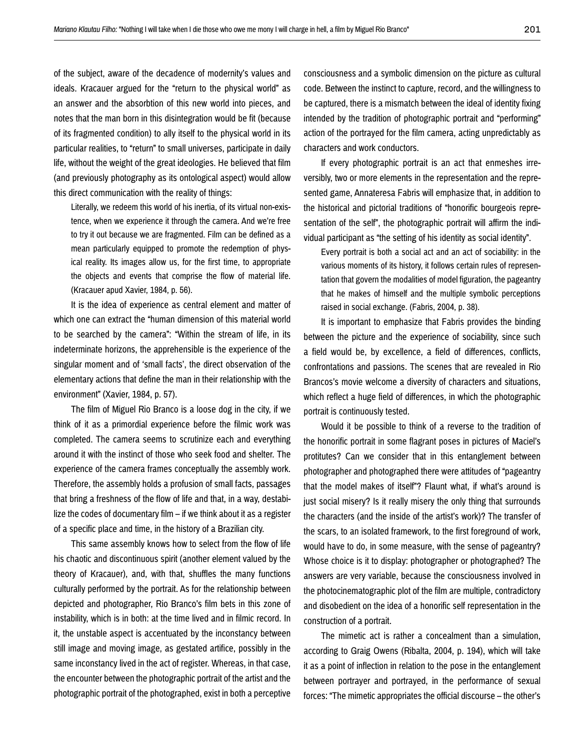of the subject, aware of the decadence of modernity's values and ideals. Kracauer argued for the "return to the physical world" as an answer and the absorbtion of this new world into pieces, and notes that the man born in this disintegration would be fit (because of its fragmented condition) to ally itself to the physical world in its particular realities, to "return" to small universes, participate in daily life, without the weight of the great ideologies. He believed that film (and previously photography as its ontological aspect) would allow this direct communication with the reality of things:

Literally, we redeem this world of his inertia, of its virtual non-existence, when we experience it through the camera. And we're free to try it out because we are fragmented. Film can be defined as a mean particularly equipped to promote the redemption of physical reality. Its images allow us, for the first time, to appropriate the objects and events that comprise the flow of material life. (Kracauer apud Xavier, 1984, p. 56).

It is the idea of experience as central element and matter of which one can extract the "human dimension of this material world to be searched by the camera": "Within the stream of life, in its indeterminate horizons, the apprehensible is the experience of the singular moment and of 'small facts', the direct observation of the elementary actions that define the man in their relationship with the environment" (Xavier, 1984, p. 57).

The film of Miguel Rio Branco is a loose dog in the city, if we think of it as a primordial experience before the filmic work was completed. The camera seems to scrutinize each and everything around it with the instinct of those who seek food and shelter. The experience of the camera frames conceptually the assembly work. Therefore, the assembly holds a profusion of small facts, passages that bring a freshness of the flow of life and that, in a way, destabilize the codes of documentary film – if we think about it as a register of a specific place and time, in the history of a Brazilian city.

This same assembly knows how to select from the flow of life his chaotic and discontinuous spirit (another element valued by the theory of Kracauer), and, with that, shuffles the many functions culturally performed by the portrait. As for the relationship between depicted and photographer, Rio Branco's film bets in this zone of instability, which is in both: at the time lived and in filmic record. In it, the unstable aspect is accentuated by the inconstancy between still image and moving image, as gestated artifice, possibly in the same inconstancy lived in the act of register. Whereas, in that case, the encounter between the photographic portrait of the artist and the photographic portrait of the photographed, exist in both a perceptive

consciousness and a symbolic dimension on the picture as cultural code. Between the instinct to capture, record, and the willingness to be captured, there is a mismatch between the ideal of identity fixing intended by the tradition of photographic portrait and "performing" action of the portrayed for the film camera, acting unpredictably as characters and work conductors.

If every photographic portrait is an act that enmeshes irreversibly, two or more elements in the representation and the represented game, Annateresa Fabris will emphasize that, in addition to the historical and pictorial traditions of "honorific bourgeois representation of the self", the photographic portrait will affirm the individual participant as "the setting of his identity as social identity".

Every portrait is both a social act and an act of sociability: in the various moments of its history, it follows certain rules of representation that govern the modalities of model figuration, the pageantry that he makes of himself and the multiple symbolic perceptions raised in social exchange. (Fabris, 2004, p. 38).

It is important to emphasize that Fabris provides the binding between the picture and the experience of sociability, since such a field would be, by excellence, a field of differences, conflicts, confrontations and passions. The scenes that are revealed in Rio Brancos's movie welcome a diversity of characters and situations, which reflect a huge field of differences, in which the photographic portrait is continuously tested.

Would it be possible to think of a reverse to the tradition of the honorific portrait in some flagrant poses in pictures of Maciel's protitutes? Can we consider that in this entanglement between photographer and photographed there were attitudes of "pageantry that the model makes of itself"? Flaunt what, if what's around is just social misery? Is it really misery the only thing that surrounds the characters (and the inside of the artist's work)? The transfer of the scars, to an isolated framework, to the first foreground of work, would have to do, in some measure, with the sense of pageantry? Whose choice is it to display: photographer or photographed? The answers are very variable, because the consciousness involved in the photocinematographic plot of the film are multiple, contradictory and disobedient on the idea of a honorific self representation in the construction of a portrait.

The mimetic act is rather a concealment than a simulation, according to Graig Owens (Ribalta, 2004, p. 194), which will take it as a point of inflection in relation to the pose in the entanglement between portrayer and portrayed, in the performance of sexual forces: "The mimetic appropriates the official discourse – the other's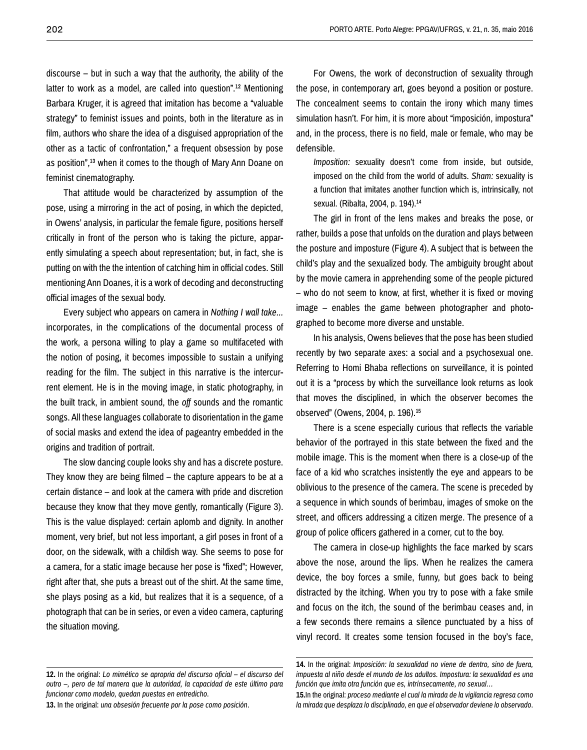discourse – but in such a way that the authority, the ability of the latter to work as a model, are called into question".<sup>12</sup> Mentioning Barbara Kruger, it is agreed that imitation has become a "valuable strategy" to feminist issues and points, both in the literature as in film, authors who share the idea of a disguised appropriation of the other as a tactic of confrontation," a frequent obsession by pose as position",13 when it comes to the though of Mary Ann Doane on feminist cinematography.

That attitude would be characterized by assumption of the pose, using a mirroring in the act of posing, in which the depicted, in Owens' analysis, in particular the female figure, positions herself critically in front of the person who is taking the picture, apparently simulating a speech about representation; but, in fact, she is putting on with the the intention of catching him in official codes. Still mentioning Ann Doanes, it is a work of decoding and deconstructing official images of the sexual body.

Every subject who appears on camera in *Nothing I wall take...*  incorporates, in the complications of the documental process of the work, a persona willing to play a game so multifaceted with the notion of posing, it becomes impossible to sustain a unifying reading for the film. The subject in this narrative is the intercurrent element. He is in the moving image, in static photography, in the built track, in ambient sound, the *off* sounds and the romantic songs. All these languages collaborate to disorientation in the game of social masks and extend the idea of pageantry embedded in the origins and tradition of portrait.

The slow dancing couple looks shy and has a discrete posture. They know they are being filmed – the capture appears to be at a certain distance – and look at the camera with pride and discretion because they know that they move gently, romantically (Figure 3). This is the value displayed: certain aplomb and dignity. In another moment, very brief, but not less important, a girl poses in front of a door, on the sidewalk, with a childish way. She seems to pose for a camera, for a static image because her pose is "fixed"; However, right after that, she puts a breast out of the shirt. At the same time, she plays posing as a kid, but realizes that it is a sequence, of a photograph that can be in series, or even a video camera, capturing the situation moving.

For Owens, the work of deconstruction of sexuality through the pose, in contemporary art, goes beyond a position or posture. The concealment seems to contain the irony which many times simulation hasn't. For him, it is more about "imposición, impostura" and, in the process, there is no field, male or female, who may be defensible.

*Imposition:* sexuality doesn't come from inside, but outside, imposed on the child from the world of adults. *Sham:* sexuality is a function that imitates another function which is, intrinsically, not sexual. (Ribalta, 2004, p. 194).14

The girl in front of the lens makes and breaks the pose, or rather, builds a pose that unfolds on the duration and plays between the posture and imposture (Figure 4). A subject that is between the child's play and the sexualized body. The ambiguity brought about by the movie camera in apprehending some of the people pictured – who do not seem to know, at first, whether it is fixed or moving image – enables the game between photographer and photographed to become more diverse and unstable.

In his analysis, Owens believes that the pose has been studied recently by two separate axes: a social and a psychosexual one. Referring to Homi Bhaba reflections on surveillance, it is pointed out it is a "process by which the surveillance look returns as look that moves the disciplined, in which the observer becomes the observed" (Owens, 2004, p. 196).15

There is a scene especially curious that reflects the variable behavior of the portrayed in this state between the fixed and the mobile image. This is the moment when there is a close-up of the face of a kid who scratches insistently the eye and appears to be oblivious to the presence of the camera. The scene is preceded by a sequence in which sounds of berimbau, images of smoke on the street, and officers addressing a citizen merge. The presence of a group of police officers gathered in a corner, cut to the boy.

The camera in close-up highlights the face marked by scars above the nose, around the lips. When he realizes the camera device, the boy forces a smile, funny, but goes back to being distracted by the itching. When you try to pose with a fake smile and focus on the itch, the sound of the berimbau ceases and, in a few seconds there remains a silence punctuated by a hiss of vinyl record. It creates some tension focused in the boy's face,

**<sup>12.</sup>** In the original: *Lo mimético se apropria del discurso oficial – el discurso del outro –, pero de tal manera que la autoridad, la capacidad de este último para funcionar como modelo, quedan puestas en entredicho.*

**<sup>13.</sup>** In the original: *una obsesión frecuente por la pose como posición*.

**<sup>14.</sup>** In the original: *Imposición: la sexualidad no viene de dentro, sino de fuera, impuesta al niño desde el mundo de los adultos. Impostura: la sexualidad es una función que imita otra función que es, intrínsecamente, no sexual…*

**<sup>15.</sup>**In the original: *proceso mediante el cual la mirada de la vigilancia regresa como la mirada que desplaza lo disciplinado, en que el observador deviene lo observado*.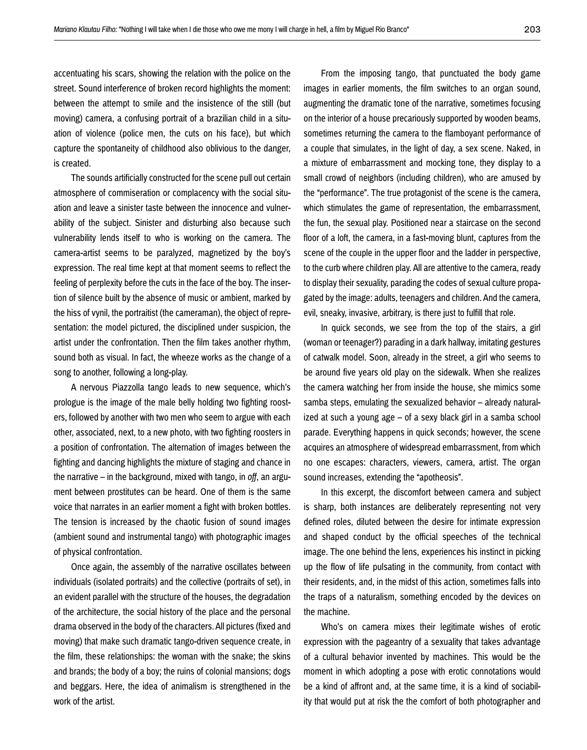accentuating his scars, showing the relation with the police on the street. Sound interference of broken record highlights the moment: between the attempt to smile and the insistence of the still (but moving) camera, a confusing portrait of a brazilian child in a situation of violence (police men, the cuts on his face), but which capture the spontaneity of childhood also oblivious to the danger, is created.

The sounds artificially constructed for the scene pull out certain atmosphere of commiseration or complacency with the social situation and leave a sinister taste between the innocence and vulnerability of the subject. Sinister and disturbing also because such vulnerability lends itself to who is working on the camera. The camera-artist seems to be paralyzed, magnetized by the boy's expression. The real time kept at that moment seems to reflect the feeling of perplexity before the cuts in the face of the boy. The insertion of silence built by the absence of music or ambient, marked by the hiss of vynil, the portraitist (the cameraman), the object of representation: the model pictured, the disciplined under suspicion, the artist under the confrontation. Then the film takes another rhythm, sound both as visual. In fact, the wheeze works as the change of a song to another, following a long-play.

A nervous Piazzolla tango leads to new sequence, which's prologue is the image of the male belly holding two fighting roosters, followed by another with two men who seem to argue with each other, associated, next, to a new photo, with two fighting roosters in a position of confrontation. The alternation of images between the fighting and dancing highlights the mixture of staging and chance in the narrative – in the background, mixed with tango, in *off*, an argument between prostitutes can be heard. One of them is the same voice that narrates in an earlier moment a fight with broken bottles. The tension is increased by the chaotic fusion of sound images (ambient sound and instrumental tango) with photographic images of physical confrontation.

Once again, the assembly of the narrative oscillates between individuals (isolated portraits) and the collective (portraits of set), in an evident parallel with the structure of the houses, the degradation of the architecture, the social history of the place and the personal drama observed in the body of the characters. All pictures (fixed and moving) that make such dramatic tango-driven sequence create, in the film, these relationships: the woman with the snake; the skins and brands; the body of a boy; the ruins of colonial mansions; dogs and beggars. Here, the idea of animalism is strengthened in the work of the artist.

From the imposing tango, that punctuated the body game images in earlier moments, the film switches to an organ sound, augmenting the dramatic tone of the narrative, sometimes focusing on the interior of a house precariously supported by wooden beams, sometimes returning the camera to the flamboyant performance of a couple that simulates, in the light of day, a sex scene. Naked, in a mixture of embarrassment and mocking tone, they display to a small crowd of neighbors (including children), who are amused by the "performance". The true protagonist of the scene is the camera, which stimulates the game of representation, the embarrassment, the fun, the sexual play. Positioned near a staircase on the second floor of a loft, the camera, in a fast-moving blunt, captures from the scene of the couple in the upper floor and the ladder in perspective, to the curb where children play. All are attentive to the camera, ready to display their sexuality, parading the codes of sexual culture propagated by the image: adults, teenagers and children. And the camera, evil, sneaky, invasive, arbitrary, is there just to fulfill that role.

In quick seconds, we see from the top of the stairs, a girl (woman or teenager?) parading in a dark hallway, imitating gestures of catwalk model. Soon, already in the street, a girl who seems to be around five years old play on the sidewalk. When she realizes the camera watching her from inside the house, she mimics some samba steps, emulating the sexualized behavior – already naturalized at such a young age – of a sexy black girl in a samba school parade. Everything happens in quick seconds; however, the scene acquires an atmosphere of widespread embarrassment, from which no one escapes: characters, viewers, camera, artist. The organ sound increases, extending the "apotheosis".

In this excerpt, the discomfort between camera and subject is sharp, both instances are deliberately representing not very defined roles, diluted between the desire for intimate expression and shaped conduct by the official speeches of the technical image. The one behind the lens, experiences his instinct in picking up the flow of life pulsating in the community, from contact with their residents, and, in the midst of this action, sometimes falls into the traps of a naturalism, something encoded by the devices on the machine.

Who's on camera mixes their legitimate wishes of erotic expression with the pageantry of a sexuality that takes advantage of a cultural behavior invented by machines. This would be the moment in which adopting a pose with erotic connotations would be a kind of affront and, at the same time, it is a kind of sociability that would put at risk the the comfort of both photographer and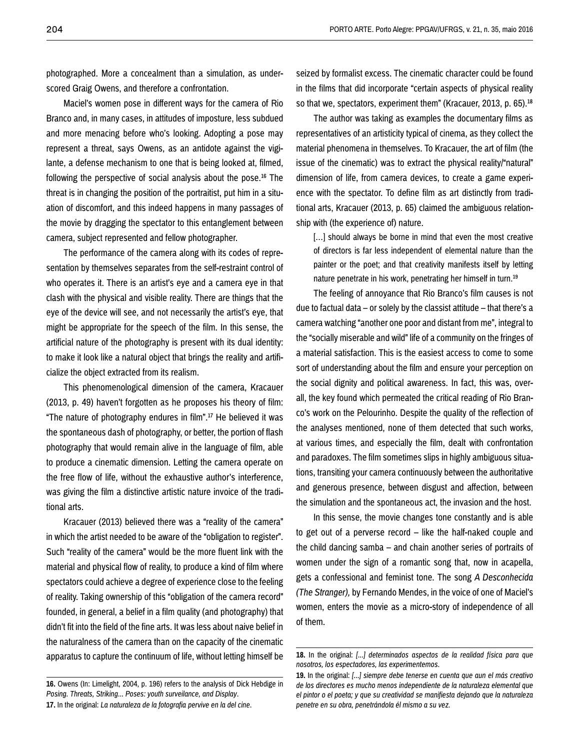photographed. More a concealment than a simulation, as underscored Graig Owens, and therefore a confrontation.

Maciel's women pose in different ways for the camera of Rio Branco and, in many cases, in attitudes of imposture, less subdued and more menacing before who's looking. Adopting a pose may represent a threat, says Owens, as an antidote against the vigilante, a defense mechanism to one that is being looked at, filmed, following the perspective of social analysis about the pose.16 The threat is in changing the position of the portraitist, put him in a situation of discomfort, and this indeed happens in many passages of the movie by dragging the spectator to this entanglement between camera, subject represented and fellow photographer.

The performance of the camera along with its codes of representation by themselves separates from the self-restraint control of who operates it. There is an artist's eye and a camera eye in that clash with the physical and visible reality. There are things that the eye of the device will see, and not necessarily the artist's eye, that might be appropriate for the speech of the film. In this sense, the artificial nature of the photography is present with its dual identity: to make it look like a natural object that brings the reality and artificialize the object extracted from its realism.

This phenomenological dimension of the camera, Kracauer (2013, p. 49) haven't forgotten as he proposes his theory of film: "The nature of photography endures in film".17 He believed it was the spontaneous dash of photography, or better, the portion of flash photography that would remain alive in the language of film, able to produce a cinematic dimension. Letting the camera operate on the free flow of life, without the exhaustive author's interference, was giving the film a distinctive artistic nature invoice of the traditional arts.

Kracauer (2013) believed there was a "reality of the camera" in which the artist needed to be aware of the "obligation to register". Such "reality of the camera" would be the more fluent link with the material and physical flow of reality, to produce a kind of film where spectators could achieve a degree of experience close to the feeling of reality. Taking ownership of this "obligation of the camera record" founded, in general, a belief in a film quality (and photography) that didn't fit into the field of the fine arts. It was less about naive belief in the naturalness of the camera than on the capacity of the cinematic apparatus to capture the continuum of life, without letting himself be seized by formalist excess. The cinematic character could be found in the films that did incorporate "certain aspects of physical reality so that we, spectators, experiment them" (Kracauer, 2013, p. 65).<sup>18</sup>

The author was taking as examples the documentary films as representatives of an artisticity typical of cinema, as they collect the material phenomena in themselves. To Kracauer, the art of film (the issue of the cinematic) was to extract the physical reality/"natural" dimension of life, from camera devices, to create a game experience with the spectator. To define film as art distinctly from traditional arts, Kracauer (2013, p. 65) claimed the ambiguous relationship with (the experience of) nature.

[...] should always be borne in mind that even the most creative of directors is far less independent of elemental nature than the painter or the poet; and that creativity manifests itself by letting nature penetrate in his work, penetrating her himself in turn.19

The feeling of annoyance that Rio Branco's film causes is not due to factual data – or solely by the classist attitude – that there's a camera watching "another one poor and distant from me", integral to the "socially miserable and wild" life of a community on the fringes of a material satisfaction. This is the easiest access to come to some sort of understanding about the film and ensure your perception on the social dignity and political awareness. In fact, this was, overall, the key found which permeated the critical reading of Rio Branco's work on the Pelourinho. Despite the quality of the reflection of the analyses mentioned, none of them detected that such works, at various times, and especially the film, dealt with confrontation and paradoxes. The film sometimes slips in highly ambiguous situations, transiting your camera continuously between the authoritative and generous presence, between disgust and affection, between the simulation and the spontaneous act, the invasion and the host.

In this sense, the movie changes tone constantly and is able to get out of a perverse record – like the half-naked couple and the child dancing samba – and chain another series of portraits of women under the sign of a romantic song that, now in acapella, gets a confessional and feminist tone. The song *A Desconhecida (The Stranger),* by Fernando Mendes, in the voice of one of Maciel's women, enters the movie as a micro-story of independence of all of them.

**<sup>16.</sup>** Owens (In: Limelight, 2004, p. 196) refers to the analysis of Dick Hebdige in *Posing. Threats, Striking... Poses: youth surveilance, and Display*. **17.** In the original: *La naturaleza de la fotografia pervive en la del cine*.

**<sup>18.</sup>** In the original: *[...] determinados aspectos de la realidad física para que nosotros, los espectadores, las experimentemos*.

**<sup>19.</sup>** In the original: *[...] siempre debe tenerse en cuenta que aun el más creativo de los directores es mucho menos independiente de la naturaleza elemental que el pintor o el poeta; y que su creatividad se manifiesta dejando que la naturaleza penetre en su obra, penetrándola él mismo a su vez.*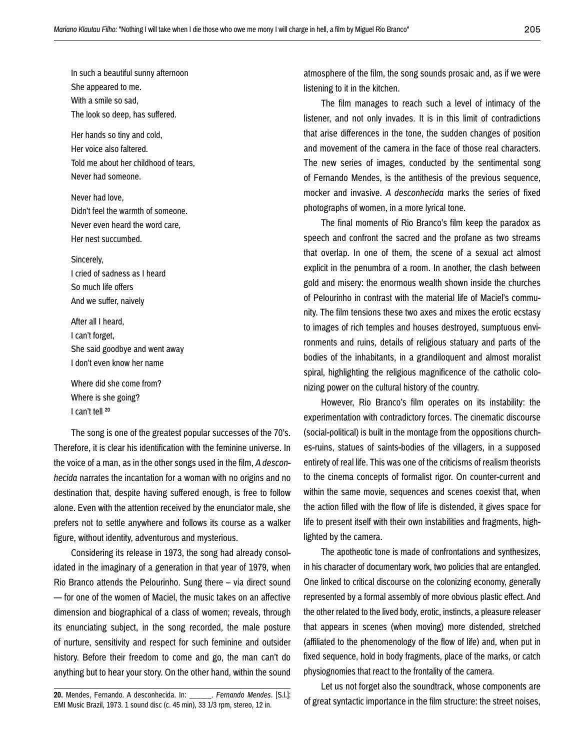In such a beautiful sunny afternoon She appeared to me. With a smile so sad, The look so deep, has suffered.

Her hands so tiny and cold, Her voice also faltered. Told me about her childhood of tears, Never had someone.

Never had love, Didn't feel the warmth of someone. Never even heard the word care, Her nest succumbed.

Sincerely, I cried of sadness as I heard So much life offers And we suffer, naively

After all I heard, I can't forget, She said goodbye and went away I don't even know her name

Where did she come from? Where is she going? I can't tell 20

The song is one of the greatest popular successes of the 70's. Therefore, it is clear his identification with the feminine universe. In the voice of a man, as in the other songs used in the film, *A desconhecida* narrates the incantation for a woman with no origins and no destination that, despite having suffered enough, is free to follow alone. Even with the attention received by the enunciator male, she prefers not to settle anywhere and follows its course as a walker figure, without identity, adventurous and mysterious.

Considering its release in 1973, the song had already consolidated in the imaginary of a generation in that year of 1979, when Rio Branco attends the Pelourinho. Sung there – via direct sound — for one of the women of Maciel, the music takes on an affective dimension and biographical of a class of women; reveals, through its enunciating subject, in the song recorded, the male posture of nurture, sensitivity and respect for such feminine and outsider history. Before their freedom to come and go, the man can't do anything but to hear your story. On the other hand, within the sound atmosphere of the film, the song sounds prosaic and, as if we were listening to it in the kitchen.

The film manages to reach such a level of intimacy of the listener, and not only invades. It is in this limit of contradictions that arise differences in the tone, the sudden changes of position and movement of the camera in the face of those real characters. The new series of images, conducted by the sentimental song of Fernando Mendes, is the antithesis of the previous sequence, mocker and invasive. *A desconhecida* marks the series of fixed photographs of women, in a more lyrical tone.

The final moments of Rio Branco's film keep the paradox as speech and confront the sacred and the profane as two streams that overlap. In one of them, the scene of a sexual act almost explicit in the penumbra of a room. In another, the clash between gold and misery: the enormous wealth shown inside the churches of Pelourinho in contrast with the material life of Maciel's community. The film tensions these two axes and mixes the erotic ecstasy to images of rich temples and houses destroyed, sumptuous environments and ruins, details of religious statuary and parts of the bodies of the inhabitants, in a grandiloquent and almost moralist spiral, highlighting the religious magnificence of the catholic colonizing power on the cultural history of the country.

However, Rio Branco's film operates on its instability: the experimentation with contradictory forces. The cinematic discourse (social-political) is built in the montage from the oppositions churches-ruins, statues of saints-bodies of the villagers, in a supposed entirety of real life. This was one of the criticisms of realism theorists to the cinema concepts of formalist rigor. On counter-current and within the same movie, sequences and scenes coexist that, when the action filled with the flow of life is distended, it gives space for life to present itself with their own instabilities and fragments, highlighted by the camera.

The apotheotic tone is made of confrontations and synthesizes, in his character of documentary work, two policies that are entangled. One linked to critical discourse on the colonizing economy, generally represented by a formal assembly of more obvious plastic effect. And the other related to the lived body, erotic, instincts, a pleasure releaser that appears in scenes (when moving) more distended, stretched (affiliated to the phenomenology of the flow of life) and, when put in fixed sequence, hold in body fragments, place of the marks, or catch physiognomies that react to the frontality of the camera.

Let us not forget also the soundtrack, whose components are of great syntactic importance in the film structure: the street noises,

**<sup>20.</sup>** Mendes, Fernando. A desconhecida. In: \_\_\_\_\_\_. *Fernando Mendes*. [S.l.]: EMI Music Brazil, 1973. 1 sound disc (c. 45 min), 33 1/3 rpm, stereo, 12 in.